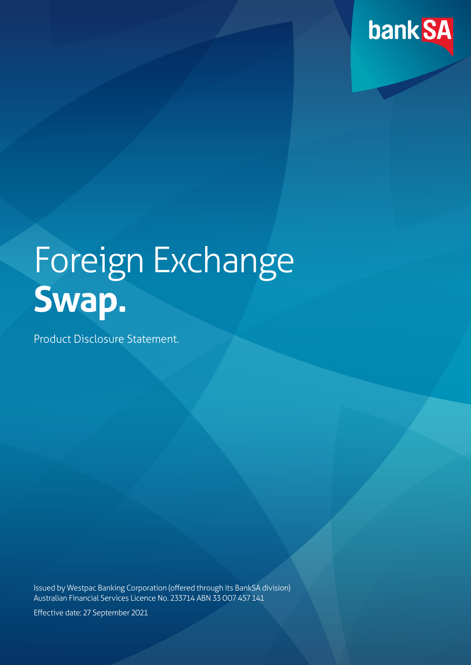

# Foreign Exchange **Swap.**

Product Disclosure Statement.

Issued by Westpac Banking Corporation (offered through its BankSA division) Australian Financial Services Licence No. 233714 ABN 33 007 457 141

Effective date: 27 September 2021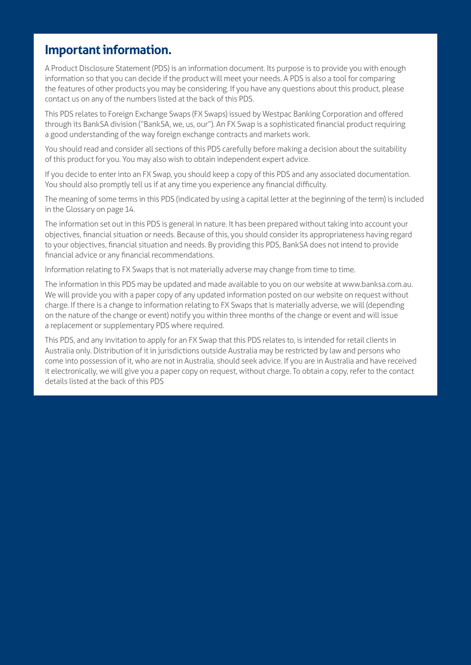# <span id="page-1-0"></span>**Important information.**

A Product Disclosure Statement (PDS) is an information document. Its purpose is to provide you with enough information so that you can decide if the product will meet your needs. A PDS is also a tool for comparing the features of other products you may be considering. If you have any questions about this product, please contact us on any of the numbers listed at the back of this PDS.

This PDS relates to Foreign Exchange Swaps (FX Swaps) issued by Westpac Banking Corporation and offered through its BankSA division ("BankSA, we, us, our"). An FX Swap is a sophisticated financial product requiring a good understanding of the way foreign exchange contracts and markets work.

You should read and consider all sections of this PDS carefully before making a decision about the suitability of this product for you. You may also wish to obtain independent expert advice.

If you decide to enter into an FX Swap, you should keep a copy of this PDS and any associated documentation. You should also promptly tell us if at any time you experience any financial difficulty.

The meaning of some terms in this PDS (indicated by using a capital letter at the beginning of the term) is included in the Glossary on page 14.

The information set out in this PDS is general in nature. It has been prepared without taking into account your objectives, financial situation or needs. Because of this, you should consider its appropriateness having regard to your objectives, financial situation and needs. By providing this PDS, BankSA does not intend to provide financial advice or any financial recommendations.

Information relating to FX Swaps that is not materially adverse may change from time to time.

The information in this PDS may be updated and made available to you on our website at www.banksa.com.au. We will provide you with a paper copy of any updated information posted on our website on request without charge. If there is a change to information relating to FX Swaps that is materially adverse, we will (depending on the nature of the change or event) notify you within three months of the change or event and will issue a replacement or supplementary PDS where required.

This PDS, and any invitation to apply for an FX Swap that this PDS relates to, is intended for retail clients in Australia only. Distribution of it in jurisdictions outside Australia may be restricted by law and persons who come into possession of it, who are not in Australia, should seek advice. If you are in Australia and have received it electronically, we will give you a paper copy on request, without charge. To obtain a copy, refer to the contact details listed at the back of this PDS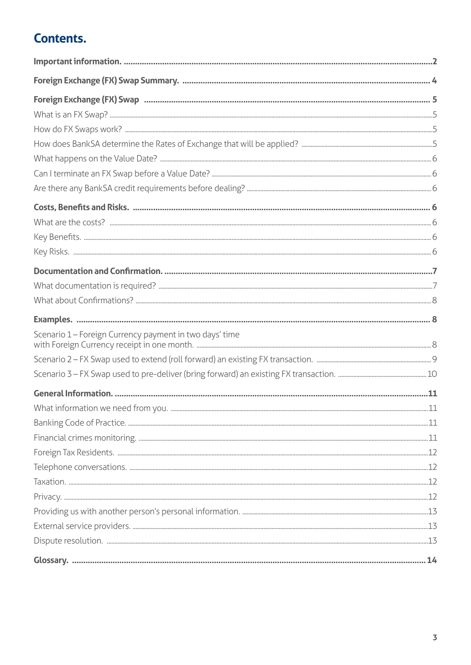# **Contents.**

| Scenario 1 - Foreign Currency payment in two days' time |  |
|---------------------------------------------------------|--|
|                                                         |  |
|                                                         |  |
|                                                         |  |
|                                                         |  |
|                                                         |  |
|                                                         |  |
|                                                         |  |
|                                                         |  |
|                                                         |  |
|                                                         |  |
|                                                         |  |
|                                                         |  |
|                                                         |  |
|                                                         |  |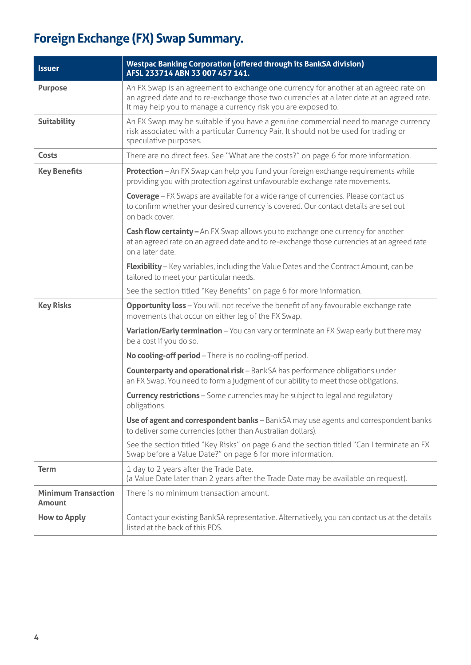# <span id="page-3-0"></span>**Foreign Exchange (FX) Swap Summary.**

| <b>Issuer</b>                               | <b>Westpac Banking Corporation (offered through its BankSA division)</b><br>AFSL 233714 ABN 33 007 457 141.                                                                                                                                        |
|---------------------------------------------|----------------------------------------------------------------------------------------------------------------------------------------------------------------------------------------------------------------------------------------------------|
| <b>Purpose</b>                              | An FX Swap is an agreement to exchange one currency for another at an agreed rate on<br>an agreed date and to re-exchange those two currencies at a later date at an agreed rate.<br>It may help you to manage a currency risk you are exposed to. |
| <b>Suitability</b>                          | An FX Swap may be suitable if you have a genuine commercial need to manage currency<br>risk associated with a particular Currency Pair. It should not be used for trading or<br>speculative purposes.                                              |
| Costs                                       | There are no direct fees. See "What are the costs?" on page 6 for more information.                                                                                                                                                                |
| <b>Key Benefits</b>                         | Protection - An FX Swap can help you fund your foreign exchange requirements while<br>providing you with protection against unfavourable exchange rate movements.                                                                                  |
|                                             | <b>Coverage</b> - FX Swaps are available for a wide range of currencies. Please contact us<br>to confirm whether your desired currency is covered. Our contact details are set out<br>on back cover.                                               |
|                                             | Cash flow certainty - An FX Swap allows you to exchange one currency for another<br>at an agreed rate on an agreed date and to re-exchange those currencies at an agreed rate<br>on a later date.                                                  |
|                                             | <b>Flexibility</b> - Key variables, including the Value Dates and the Contract Amount, can be<br>tailored to meet your particular needs.                                                                                                           |
|                                             | See the section titled "Key Benefits" on page 6 for more information.                                                                                                                                                                              |
| <b>Key Risks</b>                            | <b>Opportunity loss</b> - You will not receive the benefit of any favourable exchange rate<br>movements that occur on either leg of the FX Swap.                                                                                                   |
|                                             | Variation/Early termination - You can vary or terminate an FX Swap early but there may<br>be a cost if you do so.                                                                                                                                  |
|                                             | No cooling-off period - There is no cooling-off period.                                                                                                                                                                                            |
|                                             | Counterparty and operational risk - BankSA has performance obligations under<br>an FX Swap. You need to form a judgment of our ability to meet those obligations.                                                                                  |
|                                             | <b>Currency restrictions</b> - Some currencies may be subject to legal and regulatory<br>obligations.                                                                                                                                              |
|                                             | Use of agent and correspondent banks - BankSA may use agents and correspondent banks<br>to deliver some currencies (other than Australian dollars).                                                                                                |
|                                             | See the section titled "Key Risks" on page 6 and the section titled "Can I terminate an FX<br>Swap before a Value Date?" on page 6 for more information.                                                                                           |
| <b>Term</b>                                 | 1 day to 2 years after the Trade Date.<br>(a Value Date later than 2 years after the Trade Date may be available on request).                                                                                                                      |
| <b>Minimum Transaction</b><br><b>Amount</b> | There is no minimum transaction amount.                                                                                                                                                                                                            |
| <b>How to Apply</b>                         | Contact your existing BankSA representative. Alternatively, you can contact us at the details<br>listed at the back of this PDS.                                                                                                                   |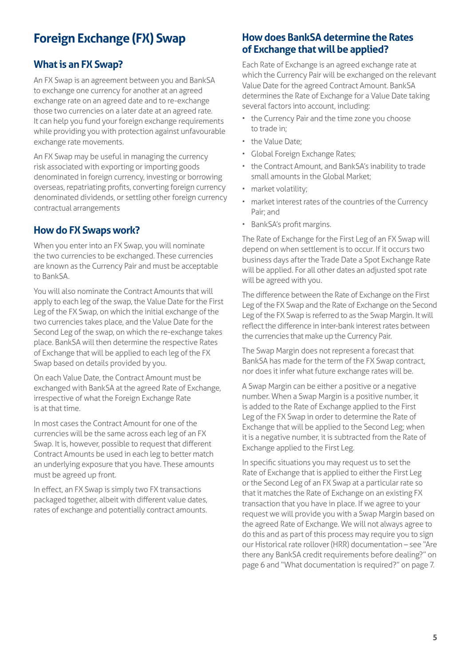# <span id="page-4-0"></span>**Foreign Exchange (FX) Swap**

# **What is an FX Swap?**

An FX Swap is an agreement between you and BankSA to exchange one currency for another at an agreed exchange rate on an agreed date and to re-exchange those two currencies on a later date at an agreed rate. It can help you fund your foreign exchange requirements while providing you with protection against unfavourable exchange rate movements.

An FX Swap may be useful in managing the currency risk associated with exporting or importing goods denominated in foreign currency, investing or borrowing overseas, repatriating profits, converting foreign currency denominated dividends, or settling other foreign currency contractual arrangements

# **How do FX Swaps work?**

When you enter into an FX Swap, you will nominate the two currencies to be exchanged. These currencies are known as the Currency Pair and must be acceptable to BankSA.

You will also nominate the Contract Amounts that will apply to each leg of the swap, the Value Date for the First Leg of the FX Swap, on which the initial exchange of the two currencies takes place, and the Value Date for the Second Leg of the swap, on which the re-exchange takes place. BankSA will then determine the respective Rates of Exchange that will be applied to each leg of the FX Swap based on details provided by you.

On each Value Date, the Contract Amount must be exchanged with BankSA at the agreed Rate of Exchange, irrespective of what the Foreign Exchange Rate is at that time.

In most cases the Contract Amount for one of the currencies will be the same across each leg of an FX Swap. It is, however, possible to request that different Contract Amounts be used in each leg to better match an underlying exposure that you have. These amounts must be agreed up front.

In effect, an FX Swap is simply two FX transactions packaged together, albeit with different value dates, rates of exchange and potentially contract amounts.

# **How does BankSA determine the Rates of Exchange that will be applied?**

Each Rate of Exchange is an agreed exchange rate at which the Currency Pair will be exchanged on the relevant Value Date for the agreed Contract Amount. BankSA determines the Rate of Exchange for a Value Date taking several factors into account, including:

- the Currency Pair and the time zone you choose to trade in;
- the Value Date;
- Global Foreign Exchange Rates;
- the Contract Amount, and BankSA's inability to trade small amounts in the Global Market;
- market volatility;
- market interest rates of the countries of the Currency Pair; and
- BankSA's profit margins.

The Rate of Exchange for the First Leg of an FX Swap will depend on when settlement is to occur. If it occurs two business days after the Trade Date a Spot Exchange Rate will be applied. For all other dates an adjusted spot rate will be agreed with you.

The difference between the Rate of Exchange on the First Leg of the FX Swap and the Rate of Exchange on the Second Leg of the FX Swap is referred to as the Swap Margin. It will reflect the difference in inter-bank interest rates between the currencies that make up the Currency Pair.

The Swap Margin does not represent a forecast that BankSA has made for the term of the FX Swap contract, nor does it infer what future exchange rates will be.

A Swap Margin can be either a positive or a negative number. When a Swap Margin is a positive number, it is added to the Rate of Exchange applied to the First Leg of the FX Swap in order to determine the Rate of Exchange that will be applied to the Second Leg; when it is a negative number, it is subtracted from the Rate of Exchange applied to the First Leg.

In specific situations you may request us to set the Rate of Exchange that is applied to either the First Leg or the Second Leg of an FX Swap at a particular rate so that it matches the Rate of Exchange on an existing FX transaction that you have in place. If we agree to your request we will provide you with a Swap Margin based on the agreed Rate of Exchange. We will not always agree to do this and as part of this process may require you to sign our Historical rate rollover (HRR) documentation – see "Are there any BankSA credit requirements before dealing?" on page 6 and "What documentation is required?" on page 7.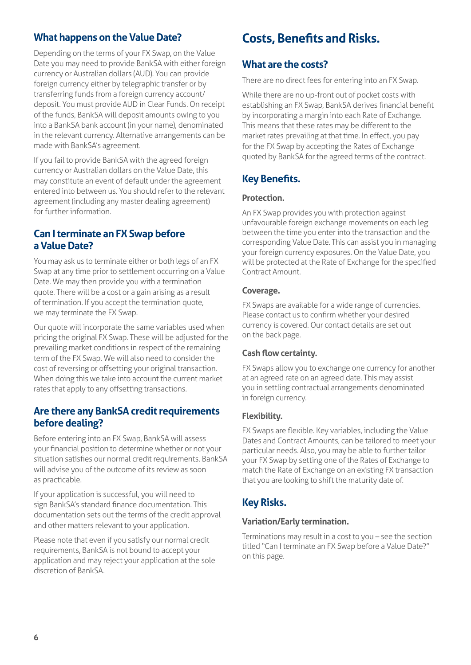# <span id="page-5-0"></span>**What happens on the Value Date?**

Depending on the terms of your FX Swap, on the Value Date you may need to provide BankSA with either foreign currency or Australian dollars (AUD). You can provide foreign currency either by telegraphic transfer or by transferring funds from a foreign currency account/ deposit. You must provide AUD in Clear Funds. On receipt of the funds, BankSA will deposit amounts owing to you into a BankSA bank account (in your name), denominated in the relevant currency. Alternative arrangements can be made with BankSA's agreement.

If you fail to provide BankSA with the agreed foreign currency or Australian dollars on the Value Date, this may constitute an event of default under the agreement entered into between us. You should refer to the relevant agreement (including any master dealing agreement) for further information.

# **Can I terminate an FX Swap before a Value Date?**

You may ask us to terminate either or both legs of an FX Swap at any time prior to settlement occurring on a Value Date. We may then provide you with a termination quote. There will be a cost or a gain arising as a result of termination. If you accept the termination quote, we may terminate the FX Swap.

Our quote will incorporate the same variables used when pricing the original FX Swap. These will be adjusted for the prevailing market conditions in respect of the remaining term of the FX Swap. We will also need to consider the cost of reversing or offsetting your original transaction. When doing this we take into account the current market rates that apply to any offsetting transactions.

## **Are there any BankSA credit requirements before dealing?**

Before entering into an FX Swap, BankSA will assess your financial position to determine whether or not your situation satisfies our normal credit requirements. BankSA will advise you of the outcome of its review as soon as practicable.

If your application is successful, you will need to sign BankSA's standard finance documentation. This documentation sets out the terms of the credit approval and other matters relevant to your application.

Please note that even if you satisfy our normal credit requirements, BankSA is not bound to accept your application and may reject your application at the sole discretion of BankSA.

# **Costs, Benefits and Risks.**

# **What are the costs?**

There are no direct fees for entering into an FX Swap.

While there are no up-front out of pocket costs with establishing an FX Swap, BankSA derives financial benefit by incorporating a margin into each Rate of Exchange. This means that these rates may be different to the market rates prevailing at that time. In effect, you pay for the FX Swap by accepting the Rates of Exchange quoted by BankSA for the agreed terms of the contract.

# **Key Benefits.**

#### **Protection.**

An FX Swap provides you with protection against unfavourable foreign exchange movements on each leg between the time you enter into the transaction and the corresponding Value Date. This can assist you in managing your foreign currency exposures. On the Value Date, you will be protected at the Rate of Exchange for the specified Contract Amount.

#### **Coverage.**

FX Swaps are available for a wide range of currencies. Please contact us to confirm whether your desired currency is covered. Our contact details are set out on the back page.

#### **Cash flow certainty.**

FX Swaps allow you to exchange one currency for another at an agreed rate on an agreed date. This may assist you in settling contractual arrangements denominated in foreign currency.

#### **Flexibility.**

FX Swaps are flexible. Key variables, including the Value Dates and Contract Amounts, can be tailored to meet your particular needs. Also, you may be able to further tailor your FX Swap by setting one of the Rates of Exchange to match the Rate of Exchange on an existing FX transaction that you are looking to shift the maturity date of.

# **Key Risks.**

#### **Variation/Early termination.**

Terminations may result in a cost to you – see the section titled "Can I terminate an FX Swap before a Value Date?" on this page.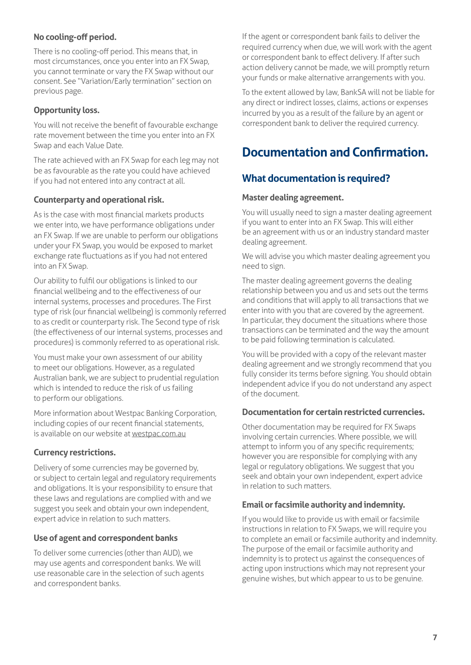## <span id="page-6-0"></span>**No cooling-off period.**

There is no cooling-off period. This means that, in most circumstances, once you enter into an FX Swap, you cannot terminate or vary the FX Swap without our consent. See "Variation/Early termination" section on previous page.

## **Opportunity loss.**

You will not receive the benefit of favourable exchange rate movement between the time you enter into an FX Swap and each Value Date.

The rate achieved with an FX Swap for each leg may not be as favourable as the rate you could have achieved if you had not entered into any contract at all.

## **Counterparty and operational risk.**

As is the case with most financial markets products we enter into, we have performance obligations under an FX Swap. If we are unable to perform our obligations under your FX Swap, you would be exposed to market exchange rate fluctuations as if you had not entered into an FX Swap.

Our ability to fulfil our obligations is linked to our financial wellbeing and to the effectiveness of our internal systems, processes and procedures. The First type of risk (our financial wellbeing) is commonly referred to as credit or counterparty risk. The Second type of risk (the effectiveness of our internal systems, processes and procedures) is commonly referred to as operational risk.

You must make your own assessment of our ability to meet our obligations. However, as a regulated Australian bank, we are subject to prudential regulation which is intended to reduce the risk of us failing to perform our obligations.

More information about Westpac Banking Corporation, including copies of our recent financial statements, is available on our website at westpac.com.au

#### **Currency restrictions.**

Delivery of some currencies may be governed by, or subject to certain legal and regulatory requirements and obligations. It is your responsibility to ensure that these laws and regulations are complied with and we suggest you seek and obtain your own independent, expert advice in relation to such matters.

#### **Use of agent and correspondent banks**

To deliver some currencies (other than AUD), we may use agents and correspondent banks. We will use reasonable care in the selection of such agents and correspondent banks.

If the agent or correspondent bank fails to deliver the required currency when due, we will work with the agent or correspondent bank to effect delivery. If after such action delivery cannot be made, we will promptly return your funds or make alternative arrangements with you.

To the extent allowed by law, BankSA will not be liable for any direct or indirect losses, claims, actions or expenses incurred by you as a result of the failure by an agent or correspondent bank to deliver the required currency.

# **Documentation and Confirmation.**

# **What documentation is required?**

## **Master dealing agreement.**

You will usually need to sign a master dealing agreement if you want to enter into an FX Swap. This will either be an agreement with us or an industry standard master dealing agreement.

We will advise you which master dealing agreement you need to sign.

The master dealing agreement governs the dealing relationship between you and us and sets out the terms and conditions that will apply to all transactions that we enter into with you that are covered by the agreement. In particular, they document the situations where those transactions can be terminated and the way the amount to be paid following termination is calculated.

You will be provided with a copy of the relevant master dealing agreement and we strongly recommend that you fully consider its terms before signing. You should obtain independent advice if you do not understand any aspect of the document.

#### **Documentation for certain restricted currencies.**

Other documentation may be required for FX Swaps involving certain currencies. Where possible, we will attempt to inform you of any specific requirements; however you are responsible for complying with any legal or regulatory obligations. We suggest that you seek and obtain your own independent, expert advice in relation to such matters.

#### **Email or facsimile authority and indemnity.**

If you would like to provide us with email or facsimile instructions in relation to FX Swaps, we will require you to complete an email or facsimile authority and indemnity. The purpose of the email or facsimile authority and indemnity is to protect us against the consequences of acting upon instructions which may not represent your genuine wishes, but which appear to us to be genuine.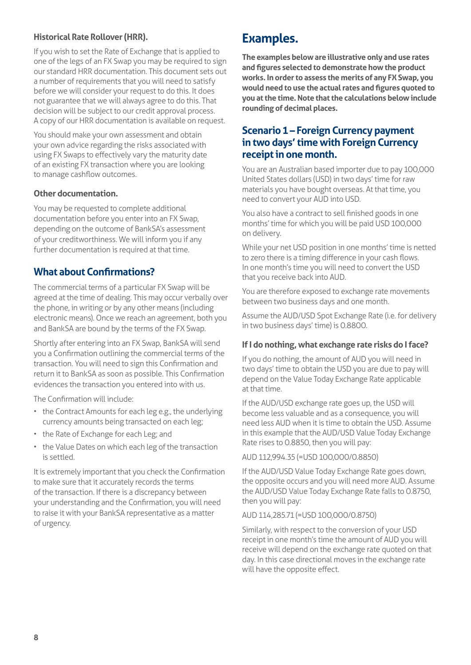## <span id="page-7-0"></span>**Historical Rate Rollover (HRR).**

If you wish to set the Rate of Exchange that is applied to one of the legs of an FX Swap you may be required to sign our standard HRR documentation. This document sets out a number of requirements that you will need to satisfy before we will consider your request to do this. It does not guarantee that we will always agree to do this. That decision will be subject to our credit approval process. A copy of our HRR documentation is available on request.

You should make your own assessment and obtain your own advice regarding the risks associated with using FX Swaps to effectively vary the maturity date of an existing FX transaction where you are looking to manage cashflow outcomes.

#### **Other documentation.**

You may be requested to complete additional documentation before you enter into an FX Swap, depending on the outcome of BankSA's assessment of your creditworthiness. We will inform you if any further documentation is required at that time.

## **What about Confirmations?**

The commercial terms of a particular FX Swap will be agreed at the time of dealing. This may occur verbally over the phone, in writing or by any other means (including electronic means). Once we reach an agreement, both you and BankSA are bound by the terms of the FX Swap.

Shortly after entering into an FX Swap, BankSA will send you a Confirmation outlining the commercial terms of the transaction. You will need to sign this Confirmation and return it to BankSA as soon as possible. This Confirmation evidences the transaction you entered into with us.

The Confirmation will include:

- the Contract Amounts for each leg e.g., the underlying currency amounts being transacted on each leg;
- the Rate of Exchange for each Leg; and
- the Value Dates on which each leg of the transaction is settled.

It is extremely important that you check the Confirmation to make sure that it accurately records the terms of the transaction. If there is a discrepancy between your understanding and the Confirmation, you will need to raise it with your BankSA representative as a matter of urgency.

# **Examples.**

**The examples below are illustrative only and use rates and figures selected to demonstrate how the product works. In order to assess the merits of any FX Swap, you would need to use the actual rates and figures quoted to you at the time. Note that the calculations below include rounding of decimal places.** 

## **Scenario 1 – Foreign Currency payment in two days' time with Foreign Currency receipt in one month.**

You are an Australian based importer due to pay 100,000 United States dollars (USD) in two days' time for raw materials you have bought overseas. At that time, you need to convert your AUD into USD.

You also have a contract to sell finished goods in one months' time for which you will be paid USD 100,000 on delivery.

While your net USD position in one months' time is netted to zero there is a timing difference in your cash flows. In one month's time you will need to convert the USD that you receive back into AUD.

You are therefore exposed to exchange rate movements between two business days and one month.

Assume the AUD/USD Spot Exchange Rate (i.e. for delivery in two business days' time) is 0.8800.

#### **If I do nothing, what exchange rate risks do I face?**

If you do nothing, the amount of AUD you will need in two days' time to obtain the USD you are due to pay will depend on the Value Today Exchange Rate applicable at that time.

If the AUD/USD exchange rate goes up, the USD will become less valuable and as a consequence, you will need less AUD when it is time to obtain the USD. Assume in this example that the AUD/USD Value Today Exchange Rate rises to 0.8850, then you will pay:

#### AUD 112,994.35 (=USD 100,000/0.8850)

If the AUD/USD Value Today Exchange Rate goes down, the opposite occurs and you will need more AUD. Assume the AUD/USD Value Today Exchange Rate falls to 0.8750, then you will pay:

#### AUD 114,285.71 (=USD 100,000/0.8750)

Similarly, with respect to the conversion of your USD receipt in one month's time the amount of AUD you will receive will depend on the exchange rate quoted on that day. In this case directional moves in the exchange rate will have the opposite effect.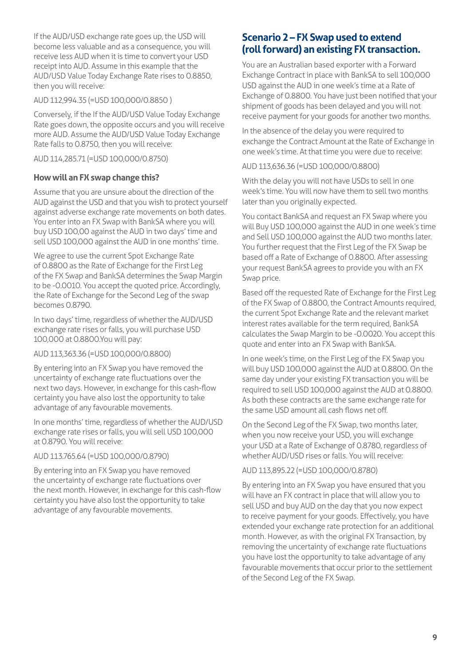<span id="page-8-0"></span>If the AUD/USD exchange rate goes up, the USD will become less valuable and as a consequence, you will receive less AUD when it is time to convert your USD receipt into AUD. Assume in this example that the AUD/USD Value Today Exchange Rate rises to 0.8850, then you will receive:

#### AUD 112,994.35 (=USD 100,000/0.8850 )

Conversely, if the If the AUD/USD Value Today Exchange Rate goes down, the opposite occurs and you will receive more AUD. Assume the AUD/USD Value Today Exchange Rate falls to 0.8750, then you will receive:

AUD 114,285.71 (=USD 100,000/0.8750)

#### **How will an FX swap change this?**

Assume that you are unsure about the direction of the AUD against the USD and that you wish to protect yourself against adverse exchange rate movements on both dates. You enter into an FX Swap with BankSA where you will buy USD 100,00 against the AUD in two days' time and sell USD 100,000 against the AUD in one months' time.

We agree to use the current Spot Exchange Rate of 0.8800 as the Rate of Exchange for the First Leg of the FX Swap and BankSA determines the Swap Margin to be -0.0010. You accept the quoted price. Accordingly, the Rate of Exchange for the Second Leg of the swap becomes 0.8790.

In two days' time, regardless of whether the AUD/USD exchange rate rises or falls, you will purchase USD 100,000 at 0.8800.You will pay:

#### AUD 113,363.36 (=USD 100,000/0.8800)

By entering into an FX Swap you have removed the uncertainty of exchange rate fluctuations over the next two days. However, in exchange for this cash-flow certainty you have also lost the opportunity to take advantage of any favourable movements.

In one months' time, regardless of whether the AUD/USD exchange rate rises or falls, you will sell USD 100,000 at 0.8790. You will receive:

#### AUD 113.765.64 (=USD 100,000/0.8790)

By entering into an FX Swap you have removed the uncertainty of exchange rate fluctuations over the next month. However, in exchange for this cash-flow certainty you have also lost the opportunity to take advantage of any favourable movements.

# **Scenario 2 – FX Swap used to extend (roll forward) an existing FX transaction.**

You are an Australian based exporter with a Forward Exchange Contract in place with BankSA to sell 100,000 USD against the AUD in one week's time at a Rate of Exchange of 0.8800. You have just been notified that your shipment of goods has been delayed and you will not receive payment for your goods for another two months.

In the absence of the delay you were required to exchange the Contract Amount at the Rate of Exchange in one week's time. At that time you were due to receive:

#### AUD 113,636.36 (=USD 100,000/0.8800)

With the delay you will not have USDs to sell in one week's time. You will now have them to sell two months later than you originally expected.

You contact BankSA and request an FX Swap where you will Buy USD 100,000 against the AUD in one week's time and Sell USD 100,000 against the AUD two months later. You further request that the First Leg of the FX Swap be based off a Rate of Exchange of 0.8800. After assessing your request BankSA agrees to provide you with an FX Swap price.

Based off the requested Rate of Exchange for the First Leg of the FX Swap of 0.8800, the Contract Amounts required, the current Spot Exchange Rate and the relevant market interest rates available for the term required, BankSA calculates the Swap Margin to be -0.0020. You accept this quote and enter into an FX Swap with BankSA.

In one week's time, on the First Leg of the FX Swap you will buy USD 100,000 against the AUD at 0.8800. On the same day under your existing FX transaction you will be required to sell USD 100,000 against the AUD at 0.8800. As both these contracts are the same exchange rate for the same USD amount all cash flows net off.

On the Second Leg of the FX Swap, two months later, when you now receive your USD, you will exchange your USD at a Rate of Exchange of 0.8780, regardless of whether AUD/USD rises or falls. You will receive:

#### AUD 113,895.22 (=USD 100,000/0.8780)

By entering into an FX Swap you have ensured that you will have an FX contract in place that will allow you to sell USD and buy AUD on the day that you now expect to receive payment for your goods. Effectively, you have extended your exchange rate protection for an additional month. However, as with the original FX Transaction, by removing the uncertainty of exchange rate fluctuations you have lost the opportunity to take advantage of any favourable movements that occur prior to the settlement of the Second Leg of the FX Swap.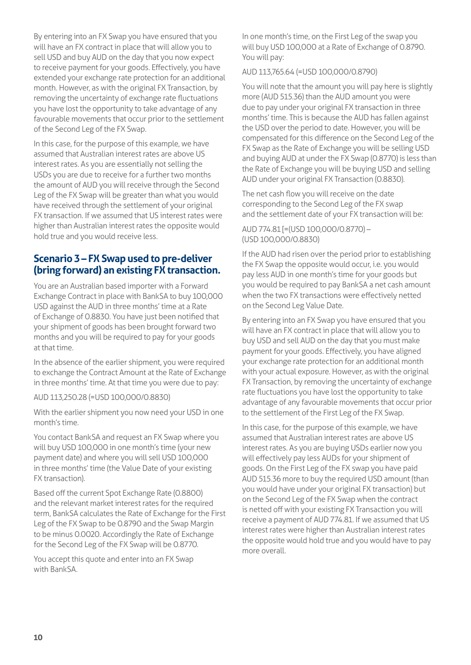<span id="page-9-0"></span>By entering into an FX Swap you have ensured that you will have an FX contract in place that will allow you to sell USD and buy AUD on the day that you now expect to receive payment for your goods. Effectively, you have extended your exchange rate protection for an additional month. However, as with the original FX Transaction, by removing the uncertainty of exchange rate fluctuations you have lost the opportunity to take advantage of any favourable movements that occur prior to the settlement of the Second Leg of the FX Swap.

In this case, for the purpose of this example, we have assumed that Australian interest rates are above US interest rates. As you are essentially not selling the USDs you are due to receive for a further two months the amount of AUD you will receive through the Second Leg of the FX Swap will be greater than what you would have received through the settlement of your original FX transaction. If we assumed that US interest rates were higher than Australian interest rates the opposite would hold true and you would receive less.

# **Scenario 3 – FX Swap used to pre-deliver (bring forward) an existing FX transaction.**

You are an Australian based importer with a Forward Exchange Contract in place with BankSA to buy 100,000 USD against the AUD in three months' time at a Rate of Exchange of 0.8830. You have just been notified that your shipment of goods has been brought forward two months and you will be required to pay for your goods at that time.

In the absence of the earlier shipment, you were required to exchange the Contract Amount at the Rate of Exchange in three months' time. At that time you were due to pay:

AUD 113,250.28 (=USD 100,000/0.8830)

With the earlier shipment you now need your USD in one month's time.

You contact BankSA and request an FX Swap where you will buy USD 100,000 in one month's time (your new payment date) and where you will sell USD 100,000 in three months' time (the Value Date of your existing FX transaction).

Based off the current Spot Exchange Rate (0.8800) and the relevant market interest rates for the required term, BankSA calculates the Rate of Exchange for the First Leg of the FX Swap to be 0.8790 and the Swap Margin to be minus 0.0020. Accordingly the Rate of Exchange for the Second Leg of the FX Swap will be 0.8770.

You accept this quote and enter into an FX Swap with BankSA.

In one month's time, on the First Leg of the swap you will buy USD 100,000 at a Rate of Exchange of 0.8790. You will pay:

AUD 113,765.64 (=USD 100,000/0.8790)

You will note that the amount you will pay here is slightly more (AUD 515.36) than the AUD amount you were due to pay under your original FX transaction in three months' time. This is because the AUD has fallen against the USD over the period to date. However, you will be compensated for this difference on the Second Leg of the FX Swap as the Rate of Exchange you will be selling USD and buying AUD at under the FX Swap (0.8770) is less than the Rate of Exchange you will be buying USD and selling AUD under your original FX Transaction (0.8830).

The net cash flow you will receive on the date corresponding to the Second Leg of the FX swap and the settlement date of your FX transaction will be:

AUD 774.81 [=(USD 100,000/0.8770) – (USD 100,000/0.8830)

If the AUD had risen over the period prior to establishing the FX Swap the opposite would occur, i.e. you would pay less AUD in one month's time for your goods but you would be required to pay BankSA a net cash amount when the two FX transactions were effectively netted on the Second Leg Value Date.

By entering into an FX Swap you have ensured that you will have an FX contract in place that will allow you to buy USD and sell AUD on the day that you must make payment for your goods. Effectively, you have aligned your exchange rate protection for an additional month with your actual exposure. However, as with the original FX Transaction, by removing the uncertainty of exchange rate fluctuations you have lost the opportunity to take advantage of any favourable movements that occur prior to the settlement of the First Leg of the FX Swap.

In this case, for the purpose of this example, we have assumed that Australian interest rates are above US interest rates. As you are buying USDs earlier now you will effectively pay less AUDs for your shipment of goods. On the First Leg of the FX swap you have paid AUD 515.36 more to buy the required USD amount (than you would have under your original FX transaction) but on the Second Leg of the FX Swap when the contract is netted off with your existing FX Transaction you will receive a payment of AUD 774.81. If we assumed that US interest rates were higher than Australian interest rates the opposite would hold true and you would have to pay more overall.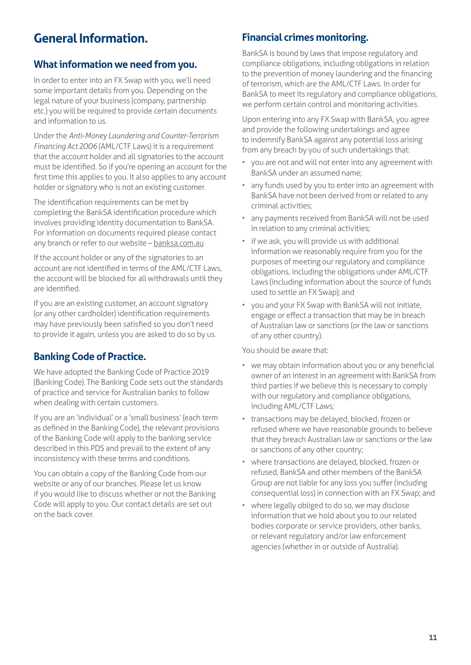# <span id="page-10-0"></span>**General Information.**

# **What information we need from you.**

In order to enter into an FX Swap with you, we'll need some important details from you. Depending on the legal nature of your business (company, partnership etc.) you will be required to provide certain documents and information to us.

Under the *Anti-Money Laundering and Counter-Terrorism Financing Act 2006* (AML/CTF Laws) it is a requirement that the account holder and all signatories to the account must be identified. So if you're opening an account for the first time this applies to you. It also applies to any account holder or signatory who is not an existing customer.

The identification requirements can be met by completing the BankSA identification procedure which involves providing identity documentation to BankSA. For information on documents required please contact any branch or refer to our website - banksa.com.au

If the account holder or any of the signatories to an account are not identified in terms of the AML/CTF Laws, the account will be blocked for all withdrawals until they are identified.

If you are an existing customer, an account signatory (or any other cardholder) identification requirements may have previously been satisfied so you don't need to provide it again, unless you are asked to do so by us.

# **Banking Code of Practice.**

We have adopted the Banking Code of Practice 2019 (Banking Code). The Banking Code sets out the standards of practice and service for Australian banks to follow when dealing with certain customers.

If you are an 'individual' or a 'small business' (each term as defined in the Banking Code), the relevant provisions of the Banking Code will apply to the banking service described in this PDS and prevail to the extent of any inconsistency with these terms and conditions.

You can obtain a copy of the Banking Code from our website or any of our branches. Please let us know if you would like to discuss whether or not the Banking Code will apply to you. Our contact details are set out on the back cover.

# **Financial crimes monitoring.**

BankSA is bound by laws that impose regulatory and compliance obligations, including obligations in relation to the prevention of money laundering and the financing of terrorism, which are the AML/CTF Laws. In order for BankSA to meet its regulatory and compliance obligations, we perform certain control and monitoring activities.

Upon entering into any FX Swap with BankSA, you agree and provide the following undertakings and agree to indemnify BankSA against any potential loss arising from any breach by you of such undertakings that:

- you are not and will not enter into any agreement with BankSA under an assumed name;
- any funds used by you to enter into an agreement with BankSA have not been derived from or related to any criminal activities;
- any payments received from BankSA will not be used in relation to any criminal activities;
- if we ask, you will provide us with additional information we reasonably require from you for the purposes of meeting our regulatory and compliance obligations, including the obligations under AML/CTF Laws (including information about the source of funds used to settle an FX Swap); and
- you and your FX Swap with BankSA will not initiate, engage or effect a transaction that may be in breach of Australian law or sanctions (or the law or sanctions of any other country).

You should be aware that:

- we may obtain information about you or any beneficial owner of an interest in an agreement with BankSA from third parties if we believe this is necessary to comply with our regulatory and compliance obligations, including AML/CTF Laws;
- transactions may be delayed, blocked, frozen or refused where we have reasonable grounds to believe that they breach Australian law or sanctions or the law or sanctions of any other country;
- where transactions are delayed, blocked, frozen or refused, BankSA and other members of the BankSA Group are not liable for any loss you suffer (including consequential loss) in connection with an FX Swap; and
- where legally obliged to do so, we may disclose information that we hold about you to our related bodies corporate or service providers, other banks, or relevant regulatory and/or law enforcement agencies (whether in or outside of Australia).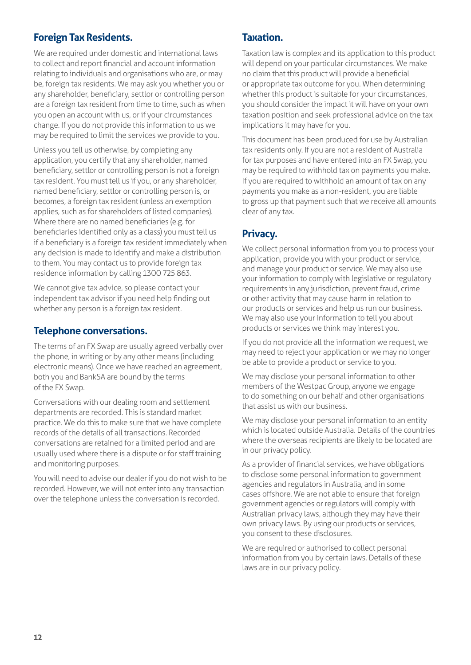# <span id="page-11-0"></span>**Foreign Tax Residents.**

We are required under domestic and international laws to collect and report financial and account information relating to individuals and organisations who are, or may be, foreign tax residents. We may ask you whether you or any shareholder, beneficiary, settlor or controlling person are a foreign tax resident from time to time, such as when you open an account with us, or if your circumstances change. If you do not provide this information to us we may be required to limit the services we provide to you.

Unless you tell us otherwise, by completing any application, you certify that any shareholder, named beneficiary, settlor or controlling person is not a foreign tax resident. You must tell us if you, or any shareholder, named beneficiary, settlor or controlling person is, or becomes, a foreign tax resident (unless an exemption applies, such as for shareholders of listed companies). Where there are no named beneficiaries (e.g. for beneficiaries identified only as a class) you must tell us if a beneficiary is a foreign tax resident immediately when any decision is made to identify and make a distribution to them. You may contact us to provide foreign tax residence information by calling 1300 725 863.

We cannot give tax advice, so please contact your independent tax advisor if you need help finding out whether any person is a foreign tax resident.

## **Telephone conversations.**

The terms of an FX Swap are usually agreed verbally over the phone, in writing or by any other means (including electronic means). Once we have reached an agreement, both you and BankSA are bound by the terms of the FX Swap.

Conversations with our dealing room and settlement departments are recorded. This is standard market practice. We do this to make sure that we have complete records of the details of all transactions. Recorded conversations are retained for a limited period and are usually used where there is a dispute or for staff training and monitoring purposes.

You will need to advise our dealer if you do not wish to be recorded. However, we will not enter into any transaction over the telephone unless the conversation is recorded.

## **Taxation.**

Taxation law is complex and its application to this product will depend on your particular circumstances. We make no claim that this product will provide a beneficial or appropriate tax outcome for you. When determining whether this product is suitable for your circumstances, you should consider the impact it will have on your own taxation position and seek professional advice on the tax implications it may have for you.

This document has been produced for use by Australian tax residents only. If you are not a resident of Australia for tax purposes and have entered into an FX Swap, you may be required to withhold tax on payments you make. If you are required to withhold an amount of tax on any payments you make as a non-resident, you are liable to gross up that payment such that we receive all amounts clear of any tax.

# **Privacy.**

We collect personal information from you to process your application, provide you with your product or service, and manage your product or service. We may also use your information to comply with legislative or regulatory requirements in any jurisdiction, prevent fraud, crime or other activity that may cause harm in relation to our products or services and help us run our business. We may also use your information to tell you about products or services we think may interest you.

If you do not provide all the information we request, we may need to reject your application or we may no longer be able to provide a product or service to you.

We may disclose your personal information to other members of the Westpac Group, anyone we engage to do something on our behalf and other organisations that assist us with our business.

We may disclose your personal information to an entity which is located outside Australia. Details of the countries where the overseas recipients are likely to be located are in our privacy policy.

As a provider of financial services, we have obligations to disclose some personal information to government agencies and regulators in Australia, and in some cases offshore. We are not able to ensure that foreign government agencies or regulators will comply with Australian privacy laws, although they may have their own privacy laws. By using our products or services, you consent to these disclosures.

We are required or authorised to collect personal information from you by certain laws. Details of these laws are in our privacy policy.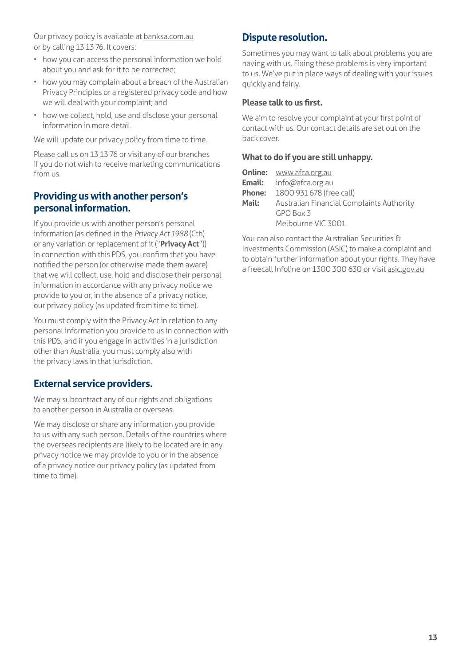<span id="page-12-0"></span>Our privacy policy is available at **banksa.com.au** or by calling 13 13 76. It covers:

- how you can access the personal information we hold about you and ask for it to be corrected;
- how you may complain about a breach of the Australian Privacy Principles or a registered privacy code and how we will deal with your complaint; and
- how we collect, hold, use and disclose your personal information in more detail.

We will update our privacy policy from time to time.

Please call us on 13 13 76 or visit any of our branches if you do not wish to receive marketing communications from us.

# **Providing us with another person's personal information.**

If you provide us with another person's personal information (as defined in the *Privacy Act 1988* (Cth) or any variation or replacement of it ("**Privacy Act**")) in connection with this PDS, you confirm that you have notified the person (or otherwise made them aware) that we will collect, use, hold and disclose their personal information in accordance with any privacy notice we provide to you or, in the absence of a privacy notice, our privacy policy (as updated from time to time).

You must comply with the Privacy Act in relation to any personal information you provide to us in connection with this PDS, and if you engage in activities in a jurisdiction other than Australia, you must comply also with the privacy laws in that jurisdiction.

# **External service providers.**

We may subcontract any of our rights and obligations to another person in Australia or overseas.

We may disclose or share any information you provide to us with any such person. Details of the countries where the overseas recipients are likely to be located are in any privacy notice we may provide to you or in the absence of a privacy notice our privacy policy (as updated from time to time).

# **Dispute resolution.**

Sometimes you may want to talk about problems you are having with us. Fixing these problems is very important to us. We've put in place ways of dealing with your issues quickly and fairly.

#### **Please talk to us first.**

We aim to resolve your complaint at your first point of contact with us. Our contact details are set out on the back cover.

#### **What to do if you are still unhappy.**

|               | <b>Online: www.afca.org.au</b>            |
|---------------|-------------------------------------------|
| Email:        | info@afca.org.au                          |
| <b>Phone:</b> | 1800 931 678 (free call)                  |
| Mail:         | Australian Financial Complaints Authority |
|               | GPO Box 3                                 |
|               | Melbourne VIC 3001                        |

You can also contact the Australian Securities & Investments Commission (ASIC) to make a complaint and to obtain further information about your rights. They have a freecall Infoline on 1300 300 630 or visit [asic.gov.au](http://asic.gov.au)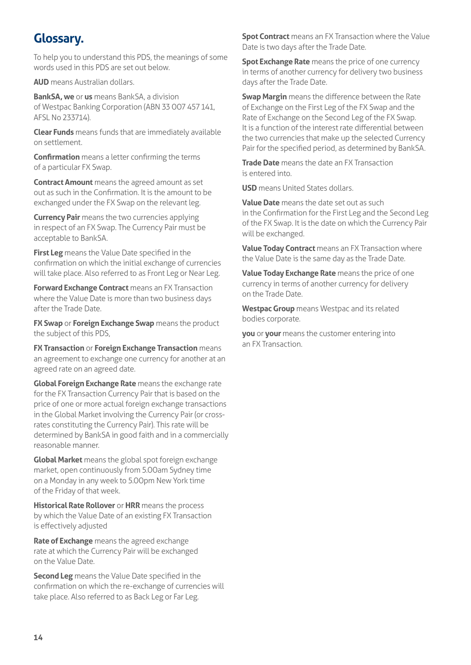# <span id="page-13-0"></span>**Glossary.**

To help you to understand this PDS, the meanings of some words used in this PDS are set out below.

**AUD** means Australian dollars.

**BankSA, we** or **us** means BankSA, a division of Westpac Banking Corporation (ABN 33 007 457 141, AFSL No 233714).

**Clear Funds** means funds that are immediately available on settlement.

**Confirmation** means a letter confirming the terms of a particular FX Swap.

**Contract Amount** means the agreed amount as set out as such in the Confirmation. It is the amount to be exchanged under the FX Swap on the relevant leg.

**Currency Pair** means the two currencies applying in respect of an FX Swap. The Currency Pair must be acceptable to BankSA.

**First Leg** means the Value Date specified in the confirmation on which the initial exchange of currencies will take place. Also referred to as Front Leg or Near Leg.

**Forward Exchange Contract** means an FX Transaction where the Value Date is more than two business days after the Trade Date.

**FX Swap** or **Foreign Exchange Swap** means the product the subject of this PDS,

**FX Transaction** or **Foreign Exchange Transaction** means an agreement to exchange one currency for another at an agreed rate on an agreed date.

**Global Foreign Exchange Rate** means the exchange rate for the FX Transaction Currency Pair that is based on the price of one or more actual foreign exchange transactions in the Global Market involving the Currency Pair (or crossrates constituting the Currency Pair). This rate will be determined by BankSA in good faith and in a commercially reasonable manner.

**Global Market** means the global spot foreign exchange market, open continuously from 5.00am Sydney time on a Monday in any week to 5.00pm New York time of the Friday of that week.

**Historical Rate Rollover** or **HRR** means the process by which the Value Date of an existing FX Transaction is effectively adjusted

**Rate of Exchange** means the agreed exchange rate at which the Currency Pair will be exchanged on the Value Date.

**Second Leg** means the Value Date specified in the confirmation on which the re-exchange of currencies will take place. Also referred to as Back Leg or Far Leg.

**Spot Contract** means an FX Transaction where the Value Date is two days after the Trade Date.

**Spot Exchange Rate** means the price of one currency in terms of another currency for delivery two business days after the Trade Date.

**Swap Margin** means the difference between the Rate of Exchange on the First Leg of the FX Swap and the Rate of Exchange on the Second Leg of the FX Swap. It is a function of the interest rate differential between the two currencies that make up the selected Currency Pair for the specified period, as determined by BankSA.

**Trade Date** means the date an FX Transaction is entered into.

**USD** means United States dollars.

**Value Date** means the date set out as such in the Confirmation for the First Leg and the Second Leg of the FX Swap. It is the date on which the Currency Pair will be exchanged.

**Value Today Contract** means an FX Transaction where the Value Date is the same day as the Trade Date.

**Value Today Exchange Rate** means the price of one currency in terms of another currency for delivery on the Trade Date.

**Westpac Group** means Westpac and its related bodies corporate.

**you** or **your** means the customer entering into an FX Transaction.